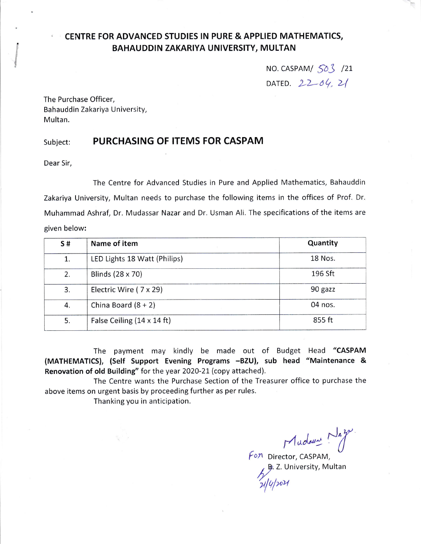## , CENTRE FOR ADVANCED STUDIES IN PURE & APPLIED MATHEMATICS, BAHAUDDIN ZAKARIYA UNIVERSITY, MULTAN

NO. CASPAM/ $\sqrt{50}$  /21 DATED.  $22-04.21$ 

The Purchase Officer, Bahauddin Zakariya University, Multan.

## subject: PURCHASING OF ITEMS FOR CASPAM

Dear Sir,

The Centre for Advanced Studies in Pure and Applied Mathematics, Bahauddin Zakariya University, Multan needs to purchase the following items in the offices of Prof. Dr. Muhammad Ashraf, Dr. Mudassar Nazar and Dr. Usman Ali. The specifications of the items are given below:

| S# | Name of item                 | Quantity |
|----|------------------------------|----------|
| 1. | LED Lights 18 Watt (Philips) | 18 Nos.  |
| 2. | Blinds (28 x 70)             | 196 Sft  |
| 3. | Electric Wire (7 x 29)       | 90 gazz  |
| 4. | China Board $(8 + 2)$        | 04 nos.  |
| 5. | False Ceiling (14 x 14 ft)   | 855 ft   |

The payment may kindly be made out of Budget Head "CASPAM (MATHEMATICS), (Self Support Evening Programs -BZU), sub head "Maintenance & Renovation of old Building" for the year 2020-21 (copy attached).

The Centre wants the Purchase Section of the Treasurer office to purchase the above items on urgent basis by proceeding further as per rules.

Thanking you in anticipation.

Mudany Naz  $\sqrt{\epsilon}$ o $\pi$  Director, CASPAM,

B. Z. University, Multan

 $\mathcal{U}[\psi]$ ro $\mathcal{U}$